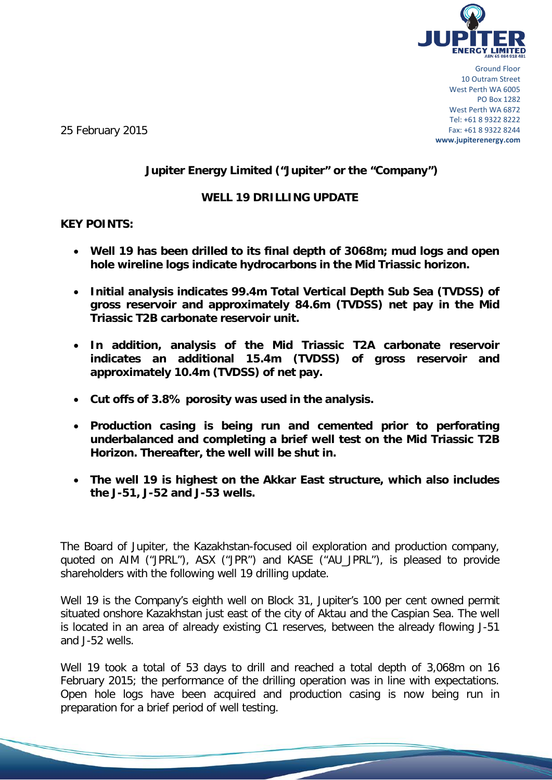

Ground Floor 10 Outram Street West Perth WA 6005 PO Box 1282 West Perth WA 6872 Tel: +61 8 9322 8222 Fax: +61 8 9322 8244 **www.jupiterenergy.com**

25 February 2015

# **Jupiter Energy Limited ("Jupiter" or the "Company")**

#### **WELL 19 DRILLING UPDATE**

#### **KEY POINTS:**

- **Well 19 has been drilled to its final depth of 3068m; mud logs and open hole wireline logs indicate hydrocarbons in the Mid Triassic horizon.**
- **Initial analysis indicates 99.4m Total Vertical Depth Sub Sea (TVDSS) of gross reservoir and approximately 84.6m (TVDSS) net pay in the Mid Triassic T2B carbonate reservoir unit.**
- **In addition, analysis of the Mid Triassic T2A carbonate reservoir indicates an additional 15.4m (TVDSS) of gross reservoir and approximately 10.4m (TVDSS) of net pay.**
- **Cut offs of 3.8% porosity was used in the analysis.**
- **Production casing is being run and cemented prior to perforating underbalanced and completing a brief well test on the Mid Triassic T2B Horizon. Thereafter, the well will be shut in.**
- **The well 19 is highest on the Akkar East structure, which also includes the J-51, J-52 and J-53 wells.**

The Board of Jupiter, the Kazakhstan-focused oil exploration and production company, quoted on AIM ("JPRL"), ASX ("JPR") and KASE ("AU\_JPRL"), is pleased to provide shareholders with the following well 19 drilling update.

Well 19 is the Company's eighth well on Block 31, Jupiter's 100 per cent owned permit situated onshore Kazakhstan just east of the city of Aktau and the Caspian Sea. The well is located in an area of already existing C1 reserves, between the already flowing J-51 and J-52 wells.

Well 19 took a total of 53 days to drill and reached a total depth of 3,068m on 16 February 2015; the performance of the drilling operation was in line with expectations. Open hole logs have been acquired and production casing is now being run in preparation for a brief period of well testing.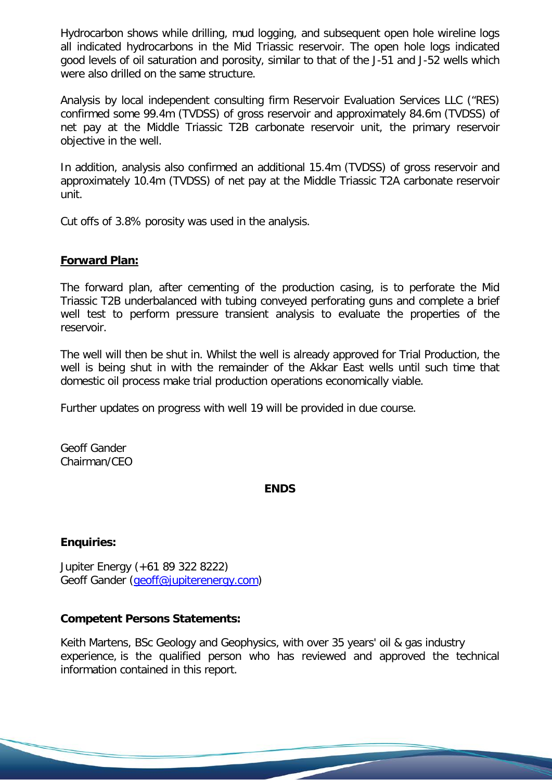Hydrocarbon shows while drilling, mud logging, and subsequent open hole wireline logs all indicated hydrocarbons in the Mid Triassic reservoir. The open hole logs indicated good levels of oil saturation and porosity, similar to that of the J-51 and J-52 wells which were also drilled on the same structure.

Analysis by local independent consulting firm Reservoir Evaluation Services LLC ("RES) confirmed some 99.4m (TVDSS) of gross reservoir and approximately 84.6m (TVDSS) of net pay at the Middle Triassic T2B carbonate reservoir unit, the primary reservoir objective in the well.

In addition, analysis also confirmed an additional 15.4m (TVDSS) of gross reservoir and approximately 10.4m (TVDSS) of net pay at the Middle Triassic T2A carbonate reservoir unit.

Cut offs of 3.8% porosity was used in the analysis.

### **Forward Plan:**

The forward plan, after cementing of the production casing, is to perforate the Mid Triassic T2B underbalanced with tubing conveyed perforating guns and complete a brief well test to perform pressure transient analysis to evaluate the properties of the reservoir.

The well will then be shut in. Whilst the well is already approved for Trial Production, the well is being shut in with the remainder of the Akkar East wells until such time that domestic oil process make trial production operations economically viable.

Further updates on progress with well 19 will be provided in due course.

Geoff Gander Chairman/CEO

#### **ENDS**

#### **Enquiries:**

Jupiter Energy (+61 89 322 8222) Geoff Gander [\(geoff@jupiterenergy.com\)](mailto:geoff@jupiterenergy.com)

## **Competent Persons Statements:**

Keith Martens, BSc Geology and Geophysics, with over 35 years' oil & gas industry experience, is the qualified person who has reviewed and approved the technical information contained in this report.